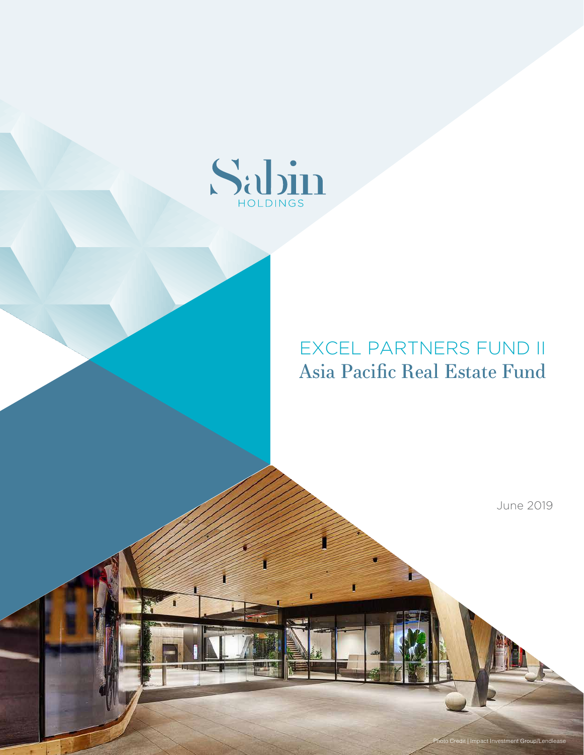

## EXCEL PARTNERS FUND II Asia Pacific Real Estate Fund

June 2019

Photo Credit | Impact Investment Group/Lendlease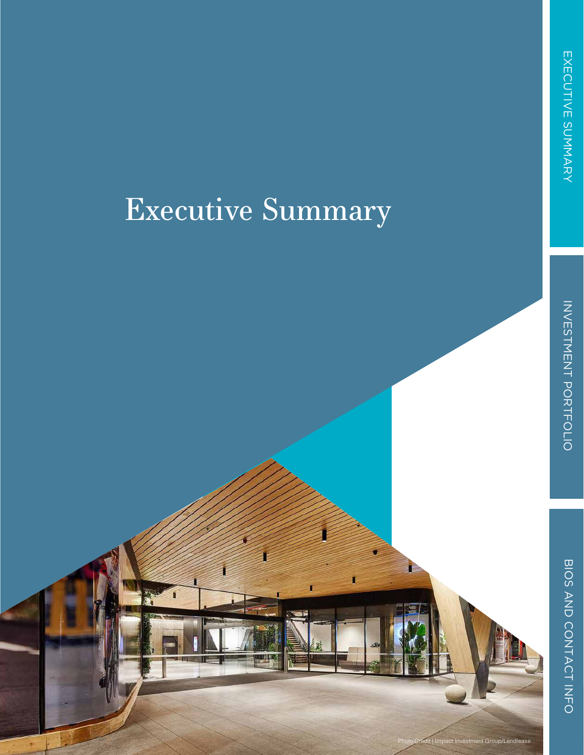# Executive Summary

Impact Investment Group/Lendlease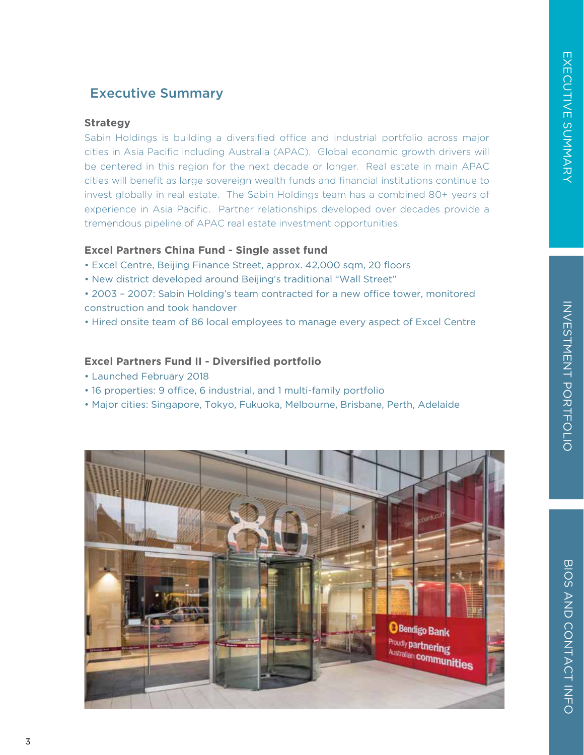#### Executive Summary

#### **Strategy**

Sabin Holdings is building a diversified office and industrial portfolio across major cities in Asia Pacific including Australia (APAC). Global economic growth drivers will be centered in this region for the next decade or longer. Real estate in main APAC cities will benefit as large sovereign wealth funds and financial institutions continue to invest globally in real estate. The Sabin Holdings team has a combined 80+ years of experience in Asia Pacific. Partner relationships developed over decades provide a tremendous pipeline of APAC real estate investment opportunities.

#### **Excel Partners China Fund - Single asset fund**

- Excel Centre, Beijing Finance Street, approx. 42,000 sqm, 20 floors
- New district developed around Beijing's traditional "Wall Street"
- 2003 2007: Sabin Holding's team contracted for a new office tower, monitored construction and took handover
- Hired onsite team of 86 local employees to manage every aspect of Excel Centre

#### **Excel Partners Fund II - Diversified portfolio**

- Launched February 2018
- 16 properties: 9 office, 6 industrial, and 1 multi-family portfolio
- Major cities: Singapore, Tokyo, Fukuoka, Melbourne, Brisbane, Perth, Adelaide

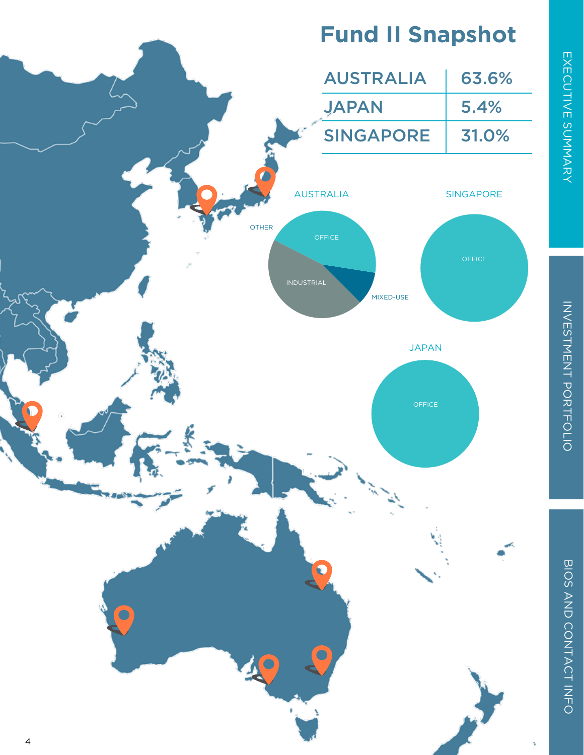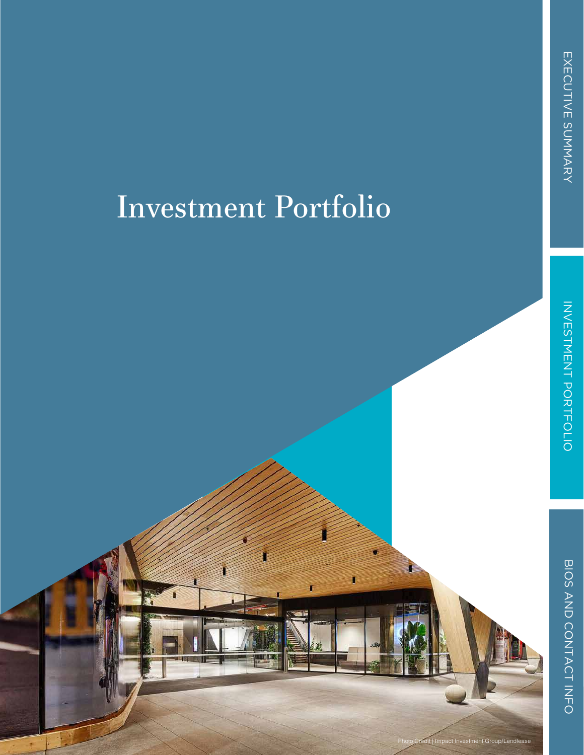# Investment Portfolio

# BIOS AND CONTACT INFO

mpact Investment Group/Lendlease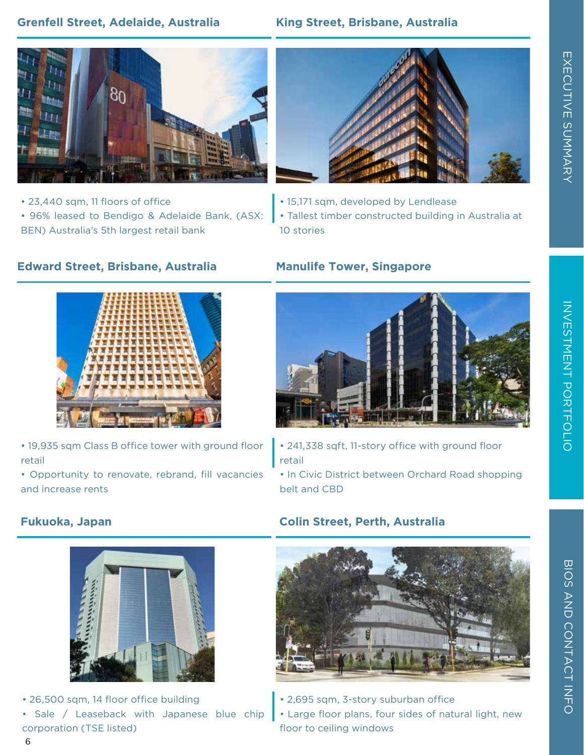#### **Grenfell Street, Adelaide, Australia King Street, Brisbane, Australia**



- 23,440 sqm, 11 floors of office
- 96% leased to Bendigo & Adelaide Bank, (ASX: BEN) Australia's 5th largest retail bank



- 15,171 sqm, developed by Lendlease
- Tallest timber constructed building in Australia at 10 stories

#### **Edward Street, Brisbane, Australia**



- 19,935 sqm Class B office tower with ground floor retail
- Opportunity to renovate, rebrand, fill vacancies and increase rents

#### **Manulife Tower, Singapore**



- 241,338 sqft, 11-story office with ground floor retail
- In Civic District between Orchard Road shopping belt and CBD



• 26,500 sqm, 14 floor office building • Sale / Leaseback with Japanese blue chip corporation (TSE listed)

#### **Fukuoka, Japan Colin Street, Perth, Australia**



- 2,695 sqm, 3-story suburban office
- Large floor plans, four sides of natural light, new floor to ceiling windows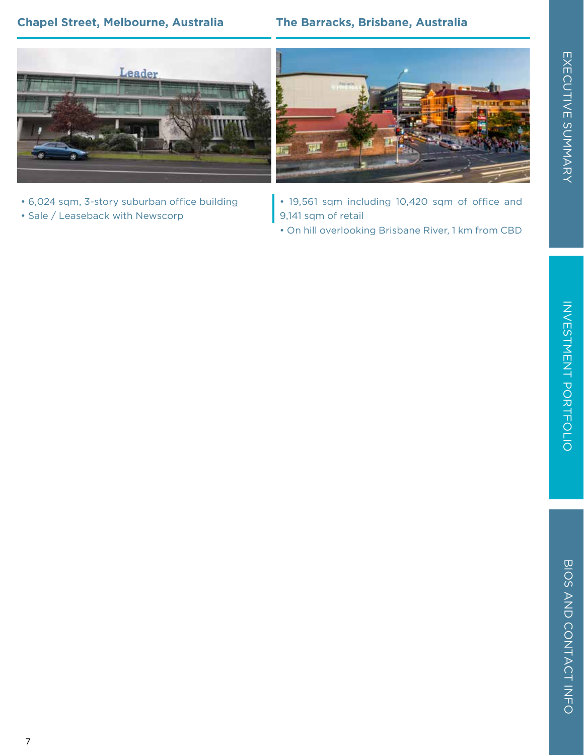#### **Chapel Street, Melbourne, Australia The Barracks, Brisbane, Australia**



- 6,024 sqm, 3-story suburban office building
- Sale / Leaseback with Newscorp



- 19,561 sqm including 10,420 sqm of office and 9,141 sqm of retail
- On hill overlooking Brisbane River, 1 km from CBD

EXECUTIVE SUMMARY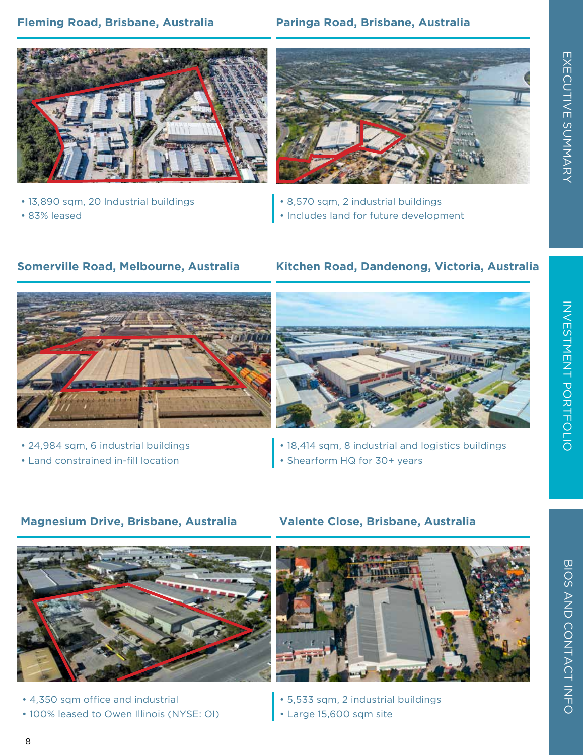#### **Fleming Road, Brisbane, Australia**

#### **Paringa Road, Brisbane, Australia**



- 13,890 sqm, 20 Industrial buildings
- 83% leased



- 8,570 sqm, 2 industrial buildings
- Includes land for future development

#### **Somerville Road, Melbourne, Australia**





- 24,984 sqm, 6 industrial buildings
- Land constrained in-fill location



- 18,414 sqm, 8 industrial and logistics buildings
- Shearform HQ for 30+ years

#### **Magnesium Drive, Brisbane, Australia Valente Close, Brisbane, Australia**



- 4,350 sqm office and industrial
- 100% leased to Owen Illinois (NYSE: OI)





• 5,533 sqm, 2 industrial buildings • Large 15,600 sqm site

EXECUTIVE SUMMARY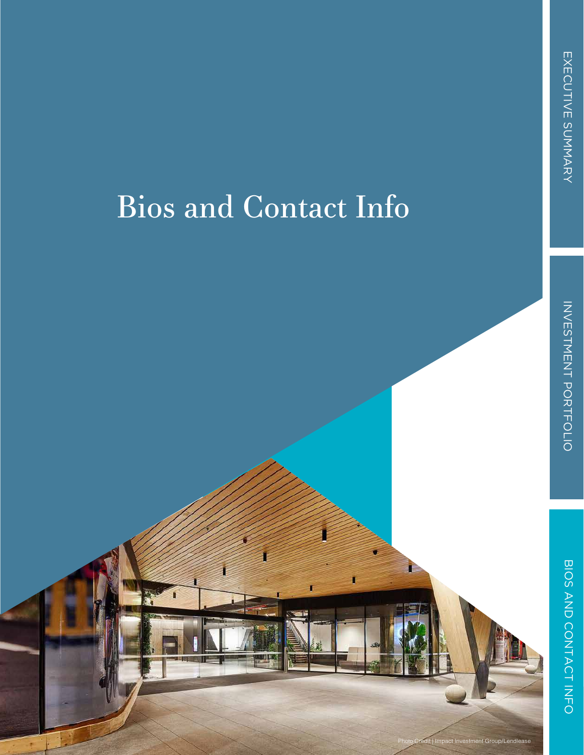# Bios and Contact Info

npact Investment Group/Lendlease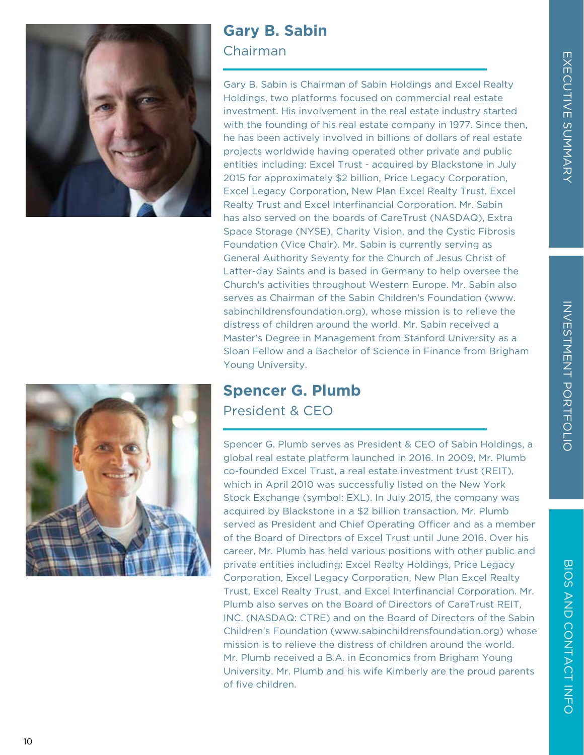

## **Gary B. Sabin**

#### Chairman

Gary B. Sabin is Chairman of Sabin Holdings and Excel Realty Holdings, two platforms focused on commercial real estate investment. His involvement in the real estate industry started with the founding of his real estate company in 1977. Since then, he has been actively involved in billions of dollars of real estate projects worldwide having operated other private and public entities including: Excel Trust - acquired by Blackstone in July 2015 for approximately \$2 billion, Price Legacy Corporation, Excel Legacy Corporation, New Plan Excel Realty Trust, Excel Realty Trust and Excel Interfinancial Corporation. Mr. Sabin has also served on the boards of CareTrust (NASDAQ), Extra Space Storage (NYSE), Charity Vision, and the Cystic Fibrosis Foundation (Vice Chair). Mr. Sabin is currently serving as General Authority Seventy for the Church of Jesus Christ of Latter-day Saints and is based in Germany to help oversee the Church's activities throughout Western Europe. Mr. Sabin also serves as Chairman of the Sabin Children's Foundation (www. sabinchildrensfoundation.org), whose mission is to relieve the distress of children around the world. Mr. Sabin received a Master's Degree in Management from Stanford University as a Sloan Fellow and a Bachelor of Science in Finance from Brigham Young University.

## **Spencer G. Plumb**

President & CEO

Spencer G. Plumb serves as President & CEO of Sabin Holdings, a global real estate platform launched in 2016. In 2009, Mr. Plumb co-founded Excel Trust, a real estate investment trust (REIT), which in April 2010 was successfully listed on the New York Stock Exchange (symbol: EXL). In July 2015, the company was acquired by Blackstone in a \$2 billion transaction. Mr. Plumb served as President and Chief Operating Officer and as a member of the Board of Directors of Excel Trust until June 2016. Over his career, Mr. Plumb has held various positions with other public and private entities including: Excel Realty Holdings, Price Legacy Corporation, Excel Legacy Corporation, New Plan Excel Realty Trust, Excel Realty Trust, and Excel Interfinancial Corporation. Mr. Plumb also serves on the Board of Directors of CareTrust REIT, INC. (NASDAQ: CTRE) and on the Board of Directors of the Sabin Children's Foundation (www.sabinchildrensfoundation.org) whose mission is to relieve the distress of children around the world. Mr. Plumb received a B.A. in Economics from Brigham Young University. Mr. Plumb and his wife Kimberly are the proud parents of five children.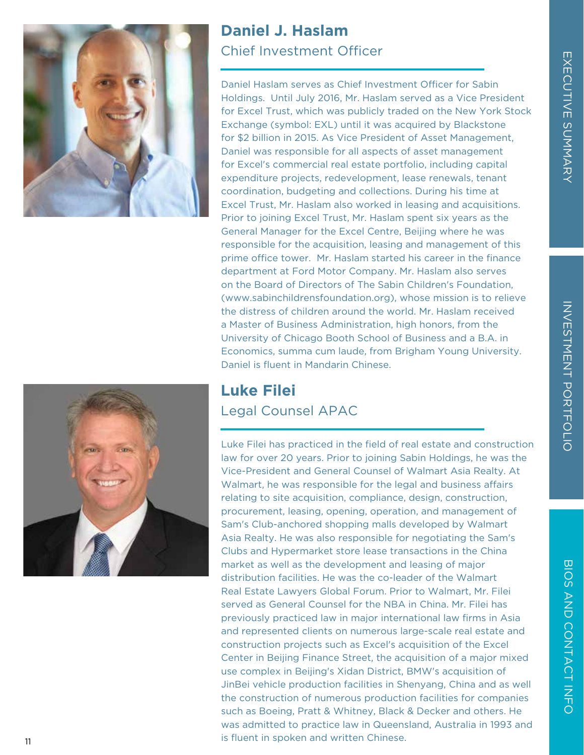BIOS AND CONTACT INFO





### **Daniel J. Haslam** Chief Investment Officer

Daniel Haslam serves as Chief Investment Officer for Sabin Holdings. Until July 2016, Mr. Haslam served as a Vice President for Excel Trust, which was publicly traded on the New York Stock Exchange (symbol: EXL) until it was acquired by Blackstone for \$2 billion in 2015. As Vice President of Asset Management, Daniel was responsible for all aspects of asset management for Excel's commercial real estate portfolio, including capital expenditure projects, redevelopment, lease renewals, tenant coordination, budgeting and collections. During his time at Excel Trust, Mr. Haslam also worked in leasing and acquisitions. Prior to joining Excel Trust, Mr. Haslam spent six years as the General Manager for the Excel Centre, Beijing where he was responsible for the acquisition, leasing and management of this prime office tower. Mr. Haslam started his career in the finance department at Ford Motor Company. Mr. Haslam also serves on the Board of Directors of The Sabin Children's Foundation, (www.sabinchildrensfoundation.org), whose mission is to relieve the distress of children around the world. Mr. Haslam received a Master of Business Administration, high honors, from the University of Chicago Booth School of Business and a B.A. in Economics, summa cum laude, from Brigham Young University. Daniel is fluent in Mandarin Chinese.

### **Luke Filei** Legal Counsel APAC

Luke Filei has practiced in the field of real estate and construction law for over 20 years. Prior to joining Sabin Holdings, he was the Vice-President and General Counsel of Walmart Asia Realty. At Walmart, he was responsible for the legal and business affairs relating to site acquisition, compliance, design, construction, procurement, leasing, opening, operation, and management of Sam's Club-anchored shopping malls developed by Walmart Asia Realty. He was also responsible for negotiating the Sam's Clubs and Hypermarket store lease transactions in the China market as well as the development and leasing of major distribution facilities. He was the co-leader of the Walmart Real Estate Lawyers Global Forum. Prior to Walmart, Mr. Filei served as General Counsel for the NBA in China. Mr. Filei has previously practiced law in major international law firms in Asia and represented clients on numerous large-scale real estate and construction projects such as Excel's acquisition of the Excel Center in Beijing Finance Street, the acquisition of a major mixed use complex in Beijing's Xidan District, BMW's acquisition of JinBei vehicle production facilities in Shenyang, China and as well the construction of numerous production facilities for companies such as Boeing, Pratt & Whitney, Black & Decker and others. He was admitted to practice law in Queensland, Australia in 1993 and is fluent in spoken and written Chinese.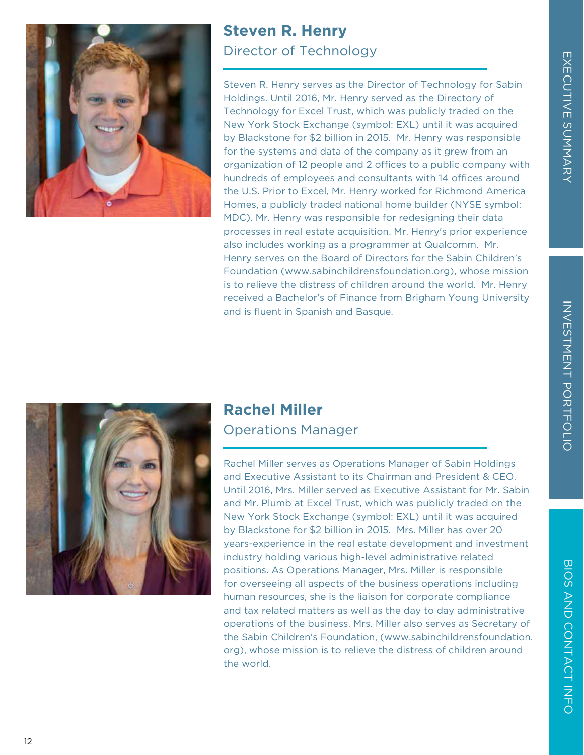



#### **Steven R. Henry** Director of Technology

Steven R. Henry serves as the Director of Technology for Sabin Holdings. Until 2016, Mr. Henry served as the Directory of Technology for Excel Trust, which was publicly traded on the New York Stock Exchange (symbol: EXL) until it was acquired by Blackstone for \$2 billion in 2015. Mr. Henry was responsible for the systems and data of the company as it grew from an organization of 12 people and 2 offices to a public company with hundreds of employees and consultants with 14 offices around the U.S. Prior to Excel, Mr. Henry worked for Richmond America Homes, a publicly traded national home builder (NYSE symbol: MDC). Mr. Henry was responsible for redesigning their data processes in real estate acquisition. Mr. Henry's prior experience also includes working as a programmer at Qualcomm. Mr. Henry serves on the Board of Directors for the Sabin Children's Foundation (www.sabinchildrensfoundation.org), whose mission is to relieve the distress of children around the world. Mr. Henry received a Bachelor's of Finance from Brigham Young University and is fluent in Spanish and Basque.



#### **Rachel Miller** Operations Manager

Rachel Miller serves as Operations Manager of Sabin Holdings and Executive Assistant to its Chairman and President & CEO. Until 2016, Mrs. Miller served as Executive Assistant for Mr. Sabin and Mr. Plumb at Excel Trust, which was publicly traded on the New York Stock Exchange (symbol: EXL) until it was acquired by Blackstone for \$2 billion in 2015. Mrs. Miller has over 20 years-experience in the real estate development and investment industry holding various high-level administrative related positions. As Operations Manager, Mrs. Miller is responsible for overseeing all aspects of the business operations including human resources, she is the liaison for corporate compliance and tax related matters as well as the day to day administrative operations of the business. Mrs. Miller also serves as Secretary of the Sabin Children's Foundation, (www.sabinchildrensfoundation. org), whose mission is to relieve the distress of children around the world.